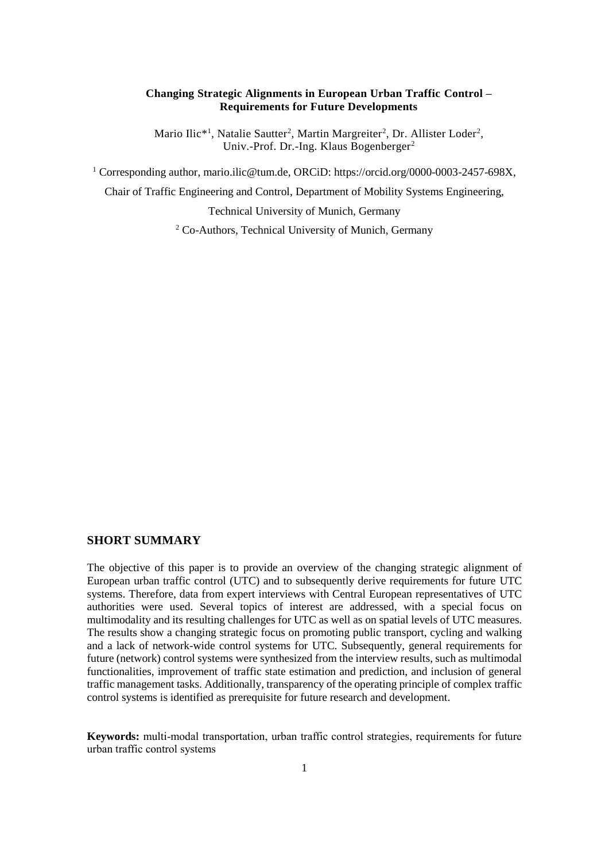#### **Changing Strategic Alignments in European Urban Traffic Control – Requirements for Future Developments**

Mario Ilic<sup>\*1</sup>, Natalie Sautter<sup>2</sup>, Martin Margreiter<sup>2</sup>, Dr. Allister Loder<sup>2</sup>, Univ.-Prof. Dr.-Ing. Klaus Bogenberger<sup>2</sup>

<sup>1</sup> Corresponding author, [mario.ilic@tum.de,](mailto:mario.ilic@tum.de?subject=[hEART%202022]%20Revisiting%20Urban%20Traffic%20Control%20in%20Austria,%20Germany%20and%20Switzerland%20-%20Requirements%20for%20Future%20Developments) ORCiD: [https://orcid.org/0000-0003-2457-698X,](https://orcid.org/0000-0003-2457-698X)

Chair of Traffic Engineering and Control, Department of Mobility Systems Engineering,

Technical University of Munich, Germany

<sup>2</sup> Co-Authors, Technical University of Munich, Germany

# **SHORT SUMMARY**

The objective of this paper is to provide an overview of the changing strategic alignment of European urban traffic control (UTC) and to subsequently derive requirements for future UTC systems. Therefore, data from expert interviews with Central European representatives of UTC authorities were used. Several topics of interest are addressed, with a special focus on multimodality and its resulting challenges for UTC as well as on spatial levels of UTC measures. The results show a changing strategic focus on promoting public transport, cycling and walking and a lack of network-wide control systems for UTC. Subsequently, general requirements for future (network) control systems were synthesized from the interview results, such as multimodal functionalities, improvement of traffic state estimation and prediction, and inclusion of general traffic management tasks. Additionally, transparency of the operating principle of complex traffic control systems is identified as prerequisite for future research and development.

**Keywords:** multi-modal transportation, urban traffic control strategies, requirements for future urban traffic control systems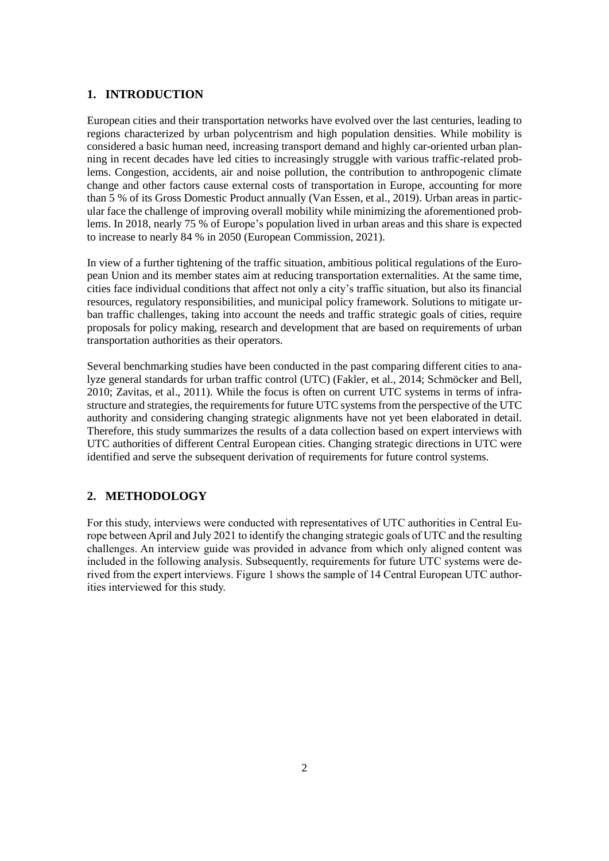## **1. INTRODUCTION**

European cities and their transportation networks have evolved over the last centuries, leading to regions characterized by urban polycentrism and high population densities. While mobility is considered a basic human need, increasing transport demand and highly car-oriented urban planning in recent decades have led cities to increasingly struggle with various traffic-related problems. Congestion, accidents, air and noise pollution, the contribution to anthropogenic climate change and other factors cause external costs of transportation in Europe, accounting for more than 5 % of its Gross Domestic Product annually (Van Essen, et al., 2019). Urban areas in particular face the challenge of improving overall mobility while minimizing the aforementioned problems. In 2018, nearly 75 % of Europe's population lived in urban areas and this share is expected to increase to nearly 84 % in 2050 (European Commission, 2021).

In view of a further tightening of the traffic situation, ambitious political regulations of the European Union and its member states aim at reducing transportation externalities. At the same time, cities face individual conditions that affect not only a city's traffic situation, but also its financial resources, regulatory responsibilities, and municipal policy framework. Solutions to mitigate urban traffic challenges, taking into account the needs and traffic strategic goals of cities, require proposals for policy making, research and development that are based on requirements of urban transportation authorities as their operators.

Several benchmarking studies have been conducted in the past comparing different cities to analyze general standards for urban traffic control (UTC) (Fakler, et al., 2014; Schmöcker and Bell, 2010; Zavitas, et al., 2011). While the focus is often on current UTC systems in terms of infrastructure and strategies, the requirements for future UTC systems from the perspective of the UTC authority and considering changing strategic alignments have not yet been elaborated in detail. Therefore, this study summarizes the results of a data collection based on expert interviews with UTC authorities of different Central European cities. Changing strategic directions in UTC were identified and serve the subsequent derivation of requirements for future control systems.

# **2. METHODOLOGY**

For this study, interviews were conducted with representatives of UTC authorities in Central Europe between April and July 2021 to identify the changing strategic goals of UTC and the resulting challenges. An interview guide was provided in advance from which only aligned content was included in the following analysis. Subsequently, requirements for future UTC systems were derived from the expert interviews. Figure 1 shows the sample of 14 Central European UTC authorities interviewed for this study.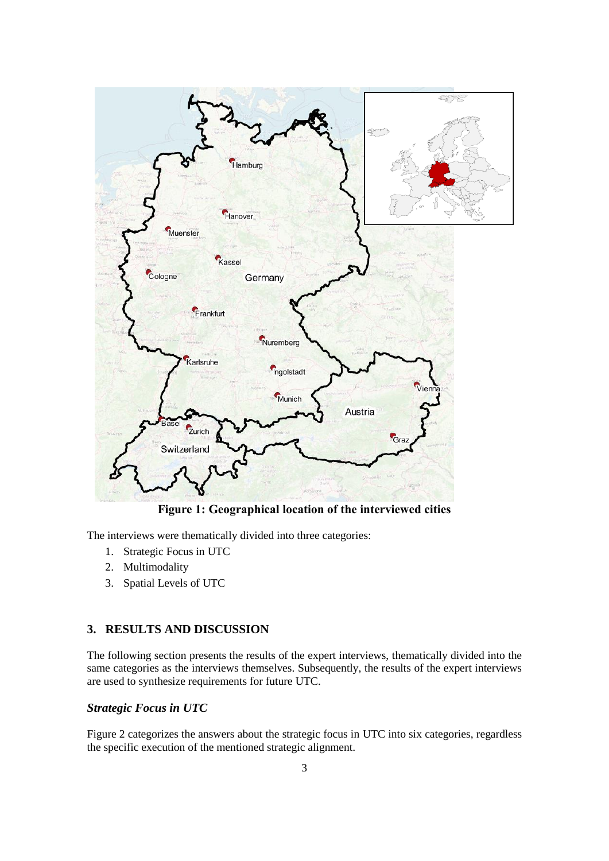

**Figure 1: Geographical location of the interviewed cities**

The interviews were thematically divided into three categories:

- 1. Strategic Focus in UTC
- 2. Multimodality
- 3. Spatial Levels of UTC

# **3. RESULTS AND DISCUSSION**

The following section presents the results of the expert interviews, thematically divided into the same categories as the interviews themselves. Subsequently, the results of the expert interviews are used to synthesize requirements for future UTC.

# *Strategic Focus in UTC*

Figure 2 categorizes the answers about the strategic focus in UTC into six categories, regardless the specific execution of the mentioned strategic alignment.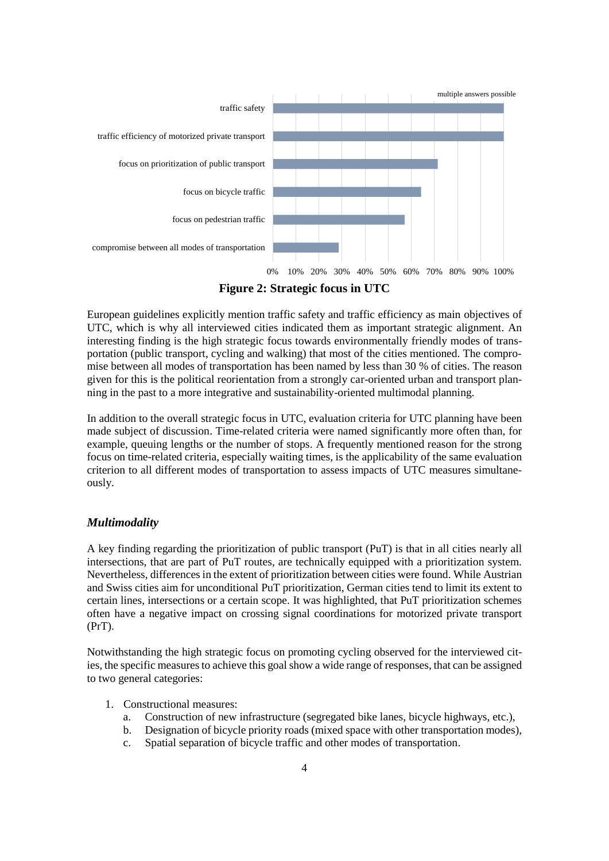

European guidelines explicitly mention traffic safety and traffic efficiency as main objectives of UTC, which is why all interviewed cities indicated them as important strategic alignment. An interesting finding is the high strategic focus towards environmentally friendly modes of transportation (public transport, cycling and walking) that most of the cities mentioned. The compromise between all modes of transportation has been named by less than 30 % of cities. The reason given for this is the political reorientation from a strongly car-oriented urban and transport planning in the past to a more integrative and sustainability-oriented multimodal planning.

In addition to the overall strategic focus in UTC, evaluation criteria for UTC planning have been made subject of discussion. Time-related criteria were named significantly more often than, for example, queuing lengths or the number of stops. A frequently mentioned reason for the strong focus on time-related criteria, especially waiting times, is the applicability of the same evaluation criterion to all different modes of transportation to assess impacts of UTC measures simultaneously.

# *Multimodality*

A key finding regarding the prioritization of public transport (PuT) is that in all cities nearly all intersections, that are part of PuT routes, are technically equipped with a prioritization system. Nevertheless, differences in the extent of prioritization between cities were found. While Austrian and Swiss cities aim for unconditional PuT prioritization, German cities tend to limit its extent to certain lines, intersections or a certain scope. It was highlighted, that PuT prioritization schemes often have a negative impact on crossing signal coordinations for motorized private transport (PrT).

Notwithstanding the high strategic focus on promoting cycling observed for the interviewed cities, the specific measures to achieve this goal show a wide range of responses, that can be assigned to two general categories:

- 1. Constructional measures:
	- a. Construction of new infrastructure (segregated bike lanes, bicycle highways, etc.),
	- b. Designation of bicycle priority roads (mixed space with other transportation modes),
	- c. Spatial separation of bicycle traffic and other modes of transportation.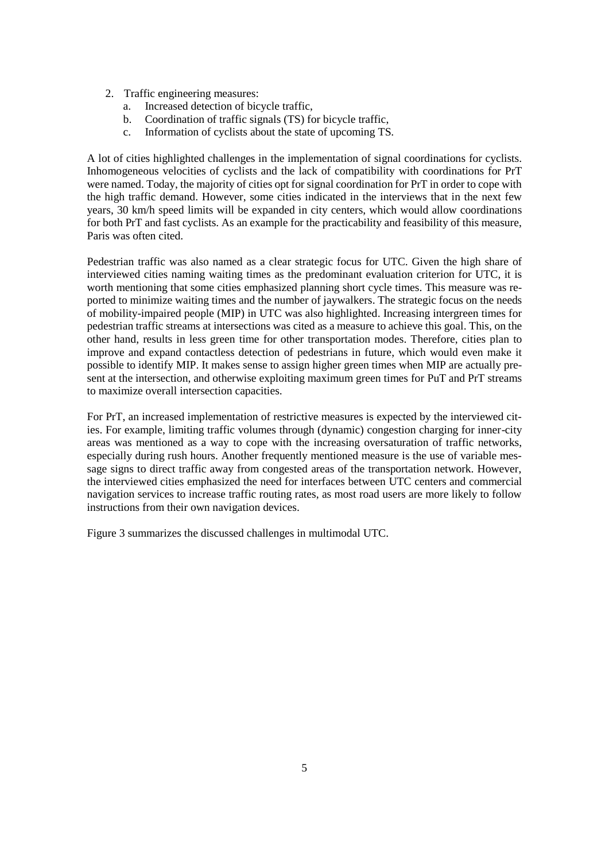- 2. Traffic engineering measures:
	- a. Increased detection of bicycle traffic,
	- b. Coordination of traffic signals (TS) for bicycle traffic,
	- c. Information of cyclists about the state of upcoming TS.

A lot of cities highlighted challenges in the implementation of signal coordinations for cyclists. Inhomogeneous velocities of cyclists and the lack of compatibility with coordinations for PrT were named. Today, the majority of cities opt for signal coordination for PrT in order to cope with the high traffic demand. However, some cities indicated in the interviews that in the next few years, 30 km/h speed limits will be expanded in city centers, which would allow coordinations for both PrT and fast cyclists. As an example for the practicability and feasibility of this measure, Paris was often cited.

Pedestrian traffic was also named as a clear strategic focus for UTC. Given the high share of interviewed cities naming waiting times as the predominant evaluation criterion for UTC, it is worth mentioning that some cities emphasized planning short cycle times. This measure was reported to minimize waiting times and the number of jaywalkers. The strategic focus on the needs of mobility-impaired people (MIP) in UTC was also highlighted. Increasing intergreen times for pedestrian traffic streams at intersections was cited as a measure to achieve this goal. This, on the other hand, results in less green time for other transportation modes. Therefore, cities plan to improve and expand contactless detection of pedestrians in future, which would even make it possible to identify MIP. It makes sense to assign higher green times when MIP are actually present at the intersection, and otherwise exploiting maximum green times for PuT and PrT streams to maximize overall intersection capacities.

For PrT, an increased implementation of restrictive measures is expected by the interviewed cities. For example, limiting traffic volumes through (dynamic) congestion charging for inner-city areas was mentioned as a way to cope with the increasing oversaturation of traffic networks, especially during rush hours. Another frequently mentioned measure is the use of variable message signs to direct traffic away from congested areas of the transportation network. However, the interviewed cities emphasized the need for interfaces between UTC centers and commercial navigation services to increase traffic routing rates, as most road users are more likely to follow instructions from their own navigation devices.

Figure 3 summarizes the discussed challenges in multimodal UTC.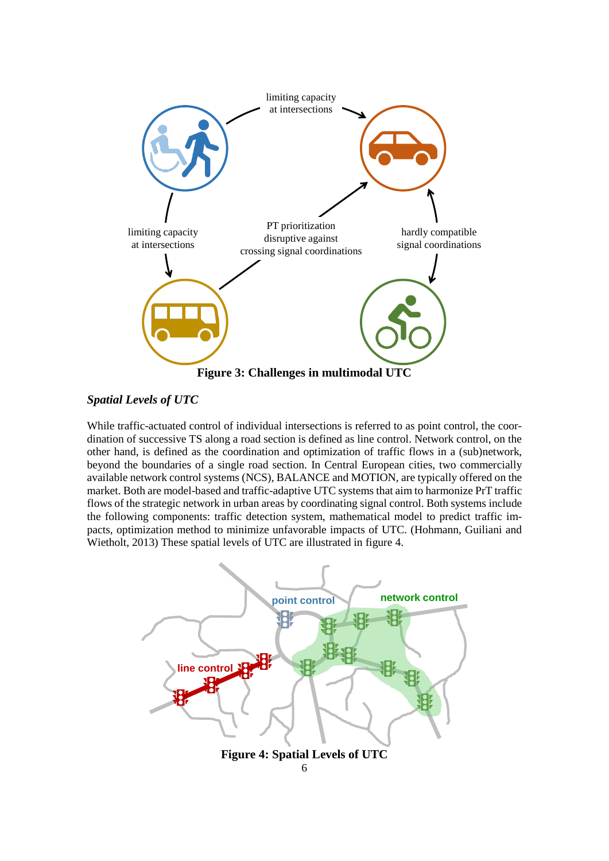

# *Spatial Levels of UTC*

While traffic-actuated control of individual intersections is referred to as point control, the coordination of successive TS along a road section is defined as line control. Network control, on the other hand, is defined as the coordination and optimization of traffic flows in a (sub)network, beyond the boundaries of a single road section. In Central European cities, two commercially available network control systems (NCS), BALANCE and MOTION, are typically offered on the market. Both are model-based and traffic-adaptive UTC systems that aim to harmonize PrT traffic flows of the strategic network in urban areas by coordinating signal control. Both systems include the following components: traffic detection system, mathematical model to predict traffic impacts, optimization method to minimize unfavorable impacts of UTC. (Hohmann, Guiliani and Wietholt, 2013) These spatial levels of UTC are illustrated in figure 4.

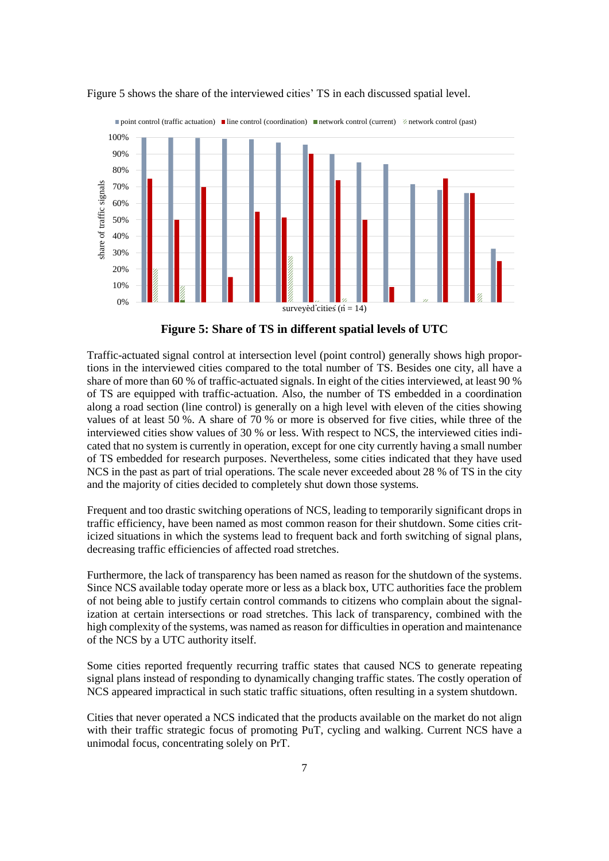



**Figure 5: Share of TS in different spatial levels of UTC**

Traffic-actuated signal control at intersection level (point control) generally shows high proportions in the interviewed cities compared to the total number of TS. Besides one city, all have a share of more than 60 % of traffic-actuated signals. In eight of the cities interviewed, at least 90 % of TS are equipped with traffic-actuation. Also, the number of TS embedded in a coordination along a road section (line control) is generally on a high level with eleven of the cities showing values of at least 50 %. A share of 70 % or more is observed for five cities, while three of the interviewed cities show values of 30 % or less. With respect to NCS, the interviewed cities indicated that no system is currently in operation, except for one city currently having a small number of TS embedded for research purposes. Nevertheless, some cities indicated that they have used NCS in the past as part of trial operations. The scale never exceeded about 28 % of TS in the city and the majority of cities decided to completely shut down those systems.

Frequent and too drastic switching operations of NCS, leading to temporarily significant drops in traffic efficiency, have been named as most common reason for their shutdown. Some cities criticized situations in which the systems lead to frequent back and forth switching of signal plans, decreasing traffic efficiencies of affected road stretches.

Furthermore, the lack of transparency has been named as reason for the shutdown of the systems. Since NCS available today operate more or less as a black box, UTC authorities face the problem of not being able to justify certain control commands to citizens who complain about the signalization at certain intersections or road stretches. This lack of transparency, combined with the high complexity of the systems, was named as reason for difficulties in operation and maintenance of the NCS by a UTC authority itself.

Some cities reported frequently recurring traffic states that caused NCS to generate repeating signal plans instead of responding to dynamically changing traffic states. The costly operation of NCS appeared impractical in such static traffic situations, often resulting in a system shutdown.

Cities that never operated a NCS indicated that the products available on the market do not align with their traffic strategic focus of promoting PuT, cycling and walking. Current NCS have a unimodal focus, concentrating solely on PrT.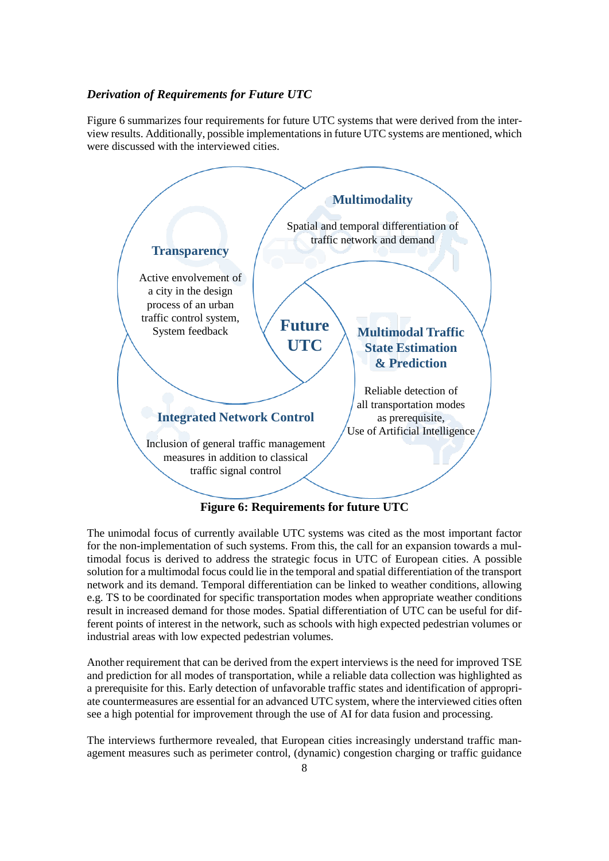## *Derivation of Requirements for Future UTC*

Figure 6 summarizes four requirements for future UTC systems that were derived from the interview results. Additionally, possible implementations in future UTC systems are mentioned, which were discussed with the interviewed cities.



**Figure 6: Requirements for future UTC**

The unimodal focus of currently available UTC systems was cited as the most important factor for the non-implementation of such systems. From this, the call for an expansion towards a multimodal focus is derived to address the strategic focus in UTC of European cities. A possible solution for a multimodal focus could lie in the temporal and spatial differentiation of the transport network and its demand. Temporal differentiation can be linked to weather conditions, allowing e.g. TS to be coordinated for specific transportation modes when appropriate weather conditions result in increased demand for those modes. Spatial differentiation of UTC can be useful for different points of interest in the network, such as schools with high expected pedestrian volumes or industrial areas with low expected pedestrian volumes.

Another requirement that can be derived from the expert interviews is the need for improved TSE and prediction for all modes of transportation, while a reliable data collection was highlighted as a prerequisite for this. Early detection of unfavorable traffic states and identification of appropriate countermeasures are essential for an advanced UTC system, where the interviewed cities often see a high potential for improvement through the use of AI for data fusion and processing.

The interviews furthermore revealed, that European cities increasingly understand traffic management measures such as perimeter control, (dynamic) congestion charging or traffic guidance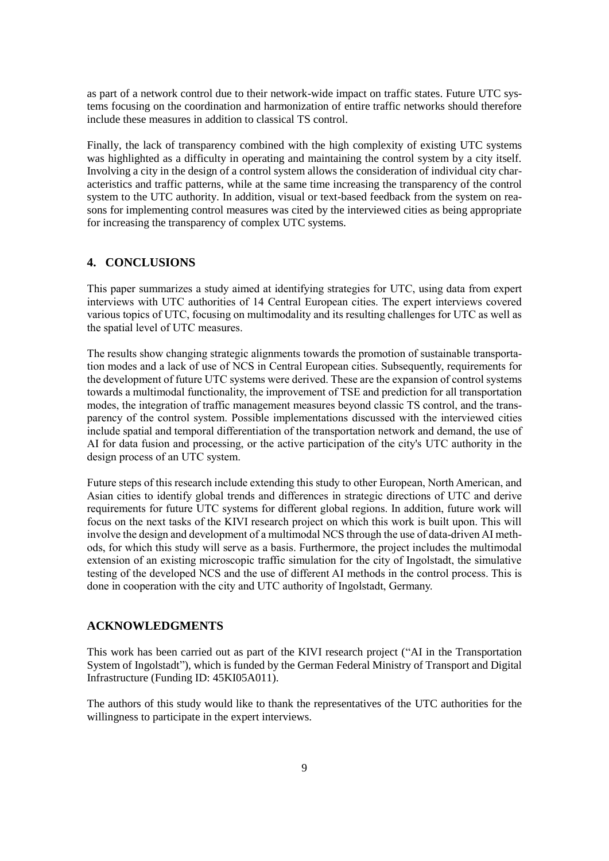as part of a network control due to their network-wide impact on traffic states. Future UTC systems focusing on the coordination and harmonization of entire traffic networks should therefore include these measures in addition to classical TS control.

Finally, the lack of transparency combined with the high complexity of existing UTC systems was highlighted as a difficulty in operating and maintaining the control system by a city itself. Involving a city in the design of a control system allows the consideration of individual city characteristics and traffic patterns, while at the same time increasing the transparency of the control system to the UTC authority. In addition, visual or text-based feedback from the system on reasons for implementing control measures was cited by the interviewed cities as being appropriate for increasing the transparency of complex UTC systems.

# **4. CONCLUSIONS**

This paper summarizes a study aimed at identifying strategies for UTC, using data from expert interviews with UTC authorities of 14 Central European cities. The expert interviews covered various topics of UTC, focusing on multimodality and its resulting challenges for UTC as well as the spatial level of UTC measures.

The results show changing strategic alignments towards the promotion of sustainable transportation modes and a lack of use of NCS in Central European cities. Subsequently, requirements for the development of future UTC systems were derived. These are the expansion of control systems towards a multimodal functionality, the improvement of TSE and prediction for all transportation modes, the integration of traffic management measures beyond classic TS control, and the transparency of the control system. Possible implementations discussed with the interviewed cities include spatial and temporal differentiation of the transportation network and demand, the use of AI for data fusion and processing, or the active participation of the city's UTC authority in the design process of an UTC system.

Future steps of this research include extending this study to other European, North American, and Asian cities to identify global trends and differences in strategic directions of UTC and derive requirements for future UTC systems for different global regions. In addition, future work will focus on the next tasks of the KIVI research project on which this work is built upon. This will involve the design and development of a multimodal NCS through the use of data-driven AI methods, for which this study will serve as a basis. Furthermore, the project includes the multimodal extension of an existing microscopic traffic simulation for the city of Ingolstadt, the simulative testing of the developed NCS and the use of different AI methods in the control process. This is done in cooperation with the city and UTC authority of Ingolstadt, Germany.

# **ACKNOWLEDGMENTS**

This work has been carried out as part of the KIVI research project ("AI in the Transportation System of Ingolstadt"), which is funded by the German Federal Ministry of Transport and Digital Infrastructure (Funding ID: 45KI05A011).

The authors of this study would like to thank the representatives of the UTC authorities for the willingness to participate in the expert interviews.